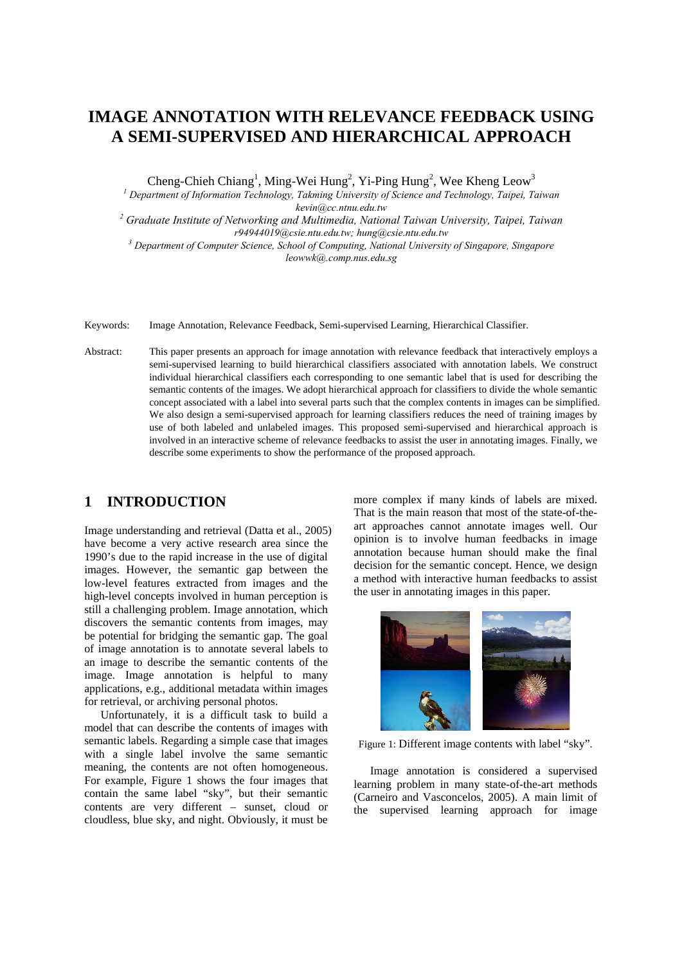# **IMAGE ANNOTATION WITH RELEVANCE FEEDBACK USING A SEMI-SUPERVISED AND HIERARCHICAL APPROACH**

Cheng-Chieh Chiang<sup>1</sup>, Ming-Wei Hung<sup>2</sup>, Yi-Ping Hung<sup>2</sup>, Wee Kheng Leow<sup>3</sup>

<sup>1</sup> Department of Information Technology, Takming University of Science and Technology, Taipei, Taiwan

kevin@cc.ntnu.edu.tw<br><sup>2</sup> Graduate Institute of Networking and Multimedia, National Taiwan University, Taipei, Taiwan<sup>2</sup><br>194944019@csie.ntu.edu.tw; hung@csie.ntu.edu.tw *r94944019@csie.ntu.edu.tw; hung@csie.ntu.edu.tw 3 Department of Computer Science, School of Computing, National University of Singapore, Singapore* 

*leowwk@.comp.nus.edu.sg* 

Keywords: Image Annotation, Relevance Feedback, Semi-supervised Learning, Hierarchical Classifier.

Abstract: This paper presents an approach for image annotation with relevance feedback that interactively employs a semi-supervised learning to build hierarchical classifiers associated with annotation labels. We construct individual hierarchical classifiers each corresponding to one semantic label that is used for describing the semantic contents of the images. We adopt hierarchical approach for classifiers to divide the whole semantic concept associated with a label into several parts such that the complex contents in images can be simplified. We also design a semi-supervised approach for learning classifiers reduces the need of training images by use of both labeled and unlabeled images. This proposed semi-supervised and hierarchical approach is involved in an interactive scheme of relevance feedbacks to assist the user in annotating images. Finally, we describe some experiments to show the performance of the proposed approach.

# **1 INTRODUCTION**

Image understanding and retrieval (Datta et al., 2005) have become a very active research area since the 1990's due to the rapid increase in the use of digital images. However, the semantic gap between the low-level features extracted from images and the high-level concepts involved in human perception is still a challenging problem. Image annotation, which discovers the semantic contents from images, may be potential for bridging the semantic gap. The goal of image annotation is to annotate several labels to an image to describe the semantic contents of the image. Image annotation is helpful to many applications, e.g., additional metadata within images for retrieval, or archiving personal photos.

Unfortunately, it is a difficult task to build a model that can describe the contents of images with semantic labels. Regarding a simple case that images with a single label involve the same semantic meaning, the contents are not often homogeneous. For example, Figure 1 shows the four images that contain the same label "sky", but their semantic contents are very different – sunset, cloud or cloudless, blue sky, and night. Obviously, it must be

more complex if many kinds of labels are mixed. That is the main reason that most of the state-of-theart approaches cannot annotate images well. Our opinion is to involve human feedbacks in image annotation because human should make the final decision for the semantic concept. Hence, we design a method with interactive human feedbacks to assist the user in annotating images in this paper.



Figure 1: Different image contents with label "sky".

Image annotation is considered a supervised learning problem in many state-of-the-art methods (Carneiro and Vasconcelos, 2005). A main limit of the supervised learning approach for image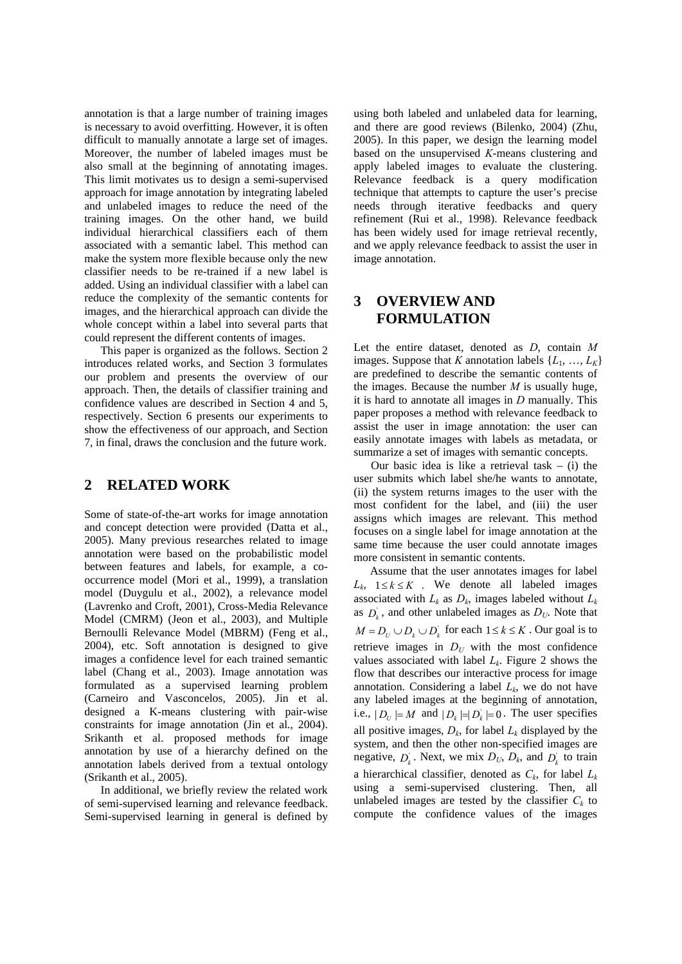annotation is that a large number of training images is necessary to avoid overfitting. However, it is often difficult to manually annotate a large set of images. Moreover, the number of labeled images must be also small at the beginning of annotating images. This limit motivates us to design a semi-supervised approach for image annotation by integrating labeled and unlabeled images to reduce the need of the training images. On the other hand, we build individual hierarchical classifiers each of them associated with a semantic label. This method can make the system more flexible because only the new classifier needs to be re-trained if a new label is added. Using an individual classifier with a label can reduce the complexity of the semantic contents for images, and the hierarchical approach can divide the whole concept within a label into several parts that could represent the different contents of images.

This paper is organized as the follows. Section 2 introduces related works, and Section 3 formulates our problem and presents the overview of our approach. Then, the details of classifier training and confidence values are described in Section 4 and 5, respectively. Section 6 presents our experiments to show the effectiveness of our approach, and Section 7, in final, draws the conclusion and the future work.

### **2 RELATED WORK**

Some of state-of-the-art works for image annotation and concept detection were provided (Datta et al., 2005). Many previous researches related to image annotation were based on the probabilistic model between features and labels, for example, a cooccurrence model (Mori et al., 1999), a translation model (Duygulu et al., 2002), a relevance model (Lavrenko and Croft, 2001), Cross-Media Relevance Model (CMRM) (Jeon et al., 2003), and Multiple Bernoulli Relevance Model (MBRM) (Feng et al., 2004), etc. Soft annotation is designed to give images a confidence level for each trained semantic label (Chang et al., 2003). Image annotation was formulated as a supervised learning problem (Carneiro and Vasconcelos, 2005). Jin et al. designed a K-means clustering with pair-wise constraints for image annotation (Jin et al., 2004). Srikanth et al. proposed methods for image annotation by use of a hierarchy defined on the annotation labels derived from a textual ontology (Srikanth et al., 2005).

In additional, we briefly review the related work of semi-supervised learning and relevance feedback. Semi-supervised learning in general is defined by

using both labeled and unlabeled data for learning, and there are good reviews (Bilenko, 2004) (Zhu, 2005). In this paper, we design the learning model based on the unsupervised *K*-means clustering and apply labeled images to evaluate the clustering. Relevance feedback is a query modification technique that attempts to capture the user's precise needs through iterative feedbacks and query refinement (Rui et al., 1998). Relevance feedback has been widely used for image retrieval recently, and we apply relevance feedback to assist the user in image annotation.

# **3 OVERVIEW AND FORMULATION**

Let the entire dataset, denoted as *D*, contain *M* images. Suppose that *K* annotation labels  $\{L_1, ..., L_k\}$ are predefined to describe the semantic contents of the images. Because the number *M* is usually huge, it is hard to annotate all images in *D* manually. This paper proposes a method with relevance feedback to assist the user in image annotation: the user can easily annotate images with labels as metadata, or summarize a set of images with semantic concepts.

Our basic idea is like a retrieval task  $-$  (i) the user submits which label she/he wants to annotate, (ii) the system returns images to the user with the most confident for the label, and (iii) the user assigns which images are relevant. This method focuses on a single label for image annotation at the same time because the user could annotate images more consistent in semantic contents.

Assume that the user annotates images for label  $L_k$ ,  $1 \le k \le K$  . We denote all labeled images associated with  $L_k$  as  $D_k$ , images labeled without  $L_k$ as  $D_k$ , and other unlabeled images as  $D_U$ . Note that  $M = D_U ∪ D_k ∪ D'_k$  for each  $1 ≤ k ≤ K$ . Our goal is to retrieve images in  $D_U$  with the most confidence values associated with label  $L_k$ . Figure 2 shows the flow that describes our interactive process for image annotation. Considering a label  $L_k$ , we do not have any labeled images at the beginning of annotation, i.e.,  $|D_{U}| = M$  and  $|D_{k}| = |D_{k}| = 0$ . The user specifies all positive images,  $D_k$ , for label  $L_k$  displayed by the system, and then the other non-specified images are negative,  $D_k$ . Next, we mix  $D_U$ ,  $D_k$ , and  $D_k$  to train a hierarchical classifier, denoted as  $C_k$ , for label  $L_k$ using a semi-supervised clustering. Then, all unlabeled images are tested by the classifier  $C_k$  to compute the confidence values of the images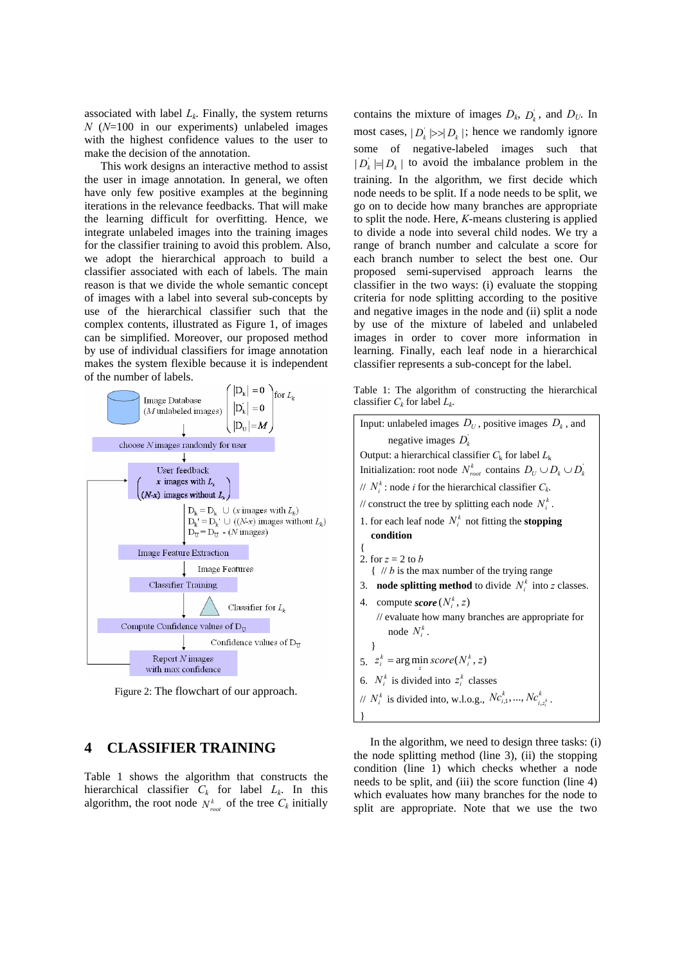associated with label  $L_k$ . Finally, the system returns *N* (*N*=100 in our experiments) unlabeled images with the highest confidence values to the user to make the decision of the annotation.

This work designs an interactive method to assist the user in image annotation. In general, we often have only few positive examples at the beginning iterations in the relevance feedbacks. That will make the learning difficult for overfitting. Hence, we integrate unlabeled images into the training images for the classifier training to avoid this problem. Also, we adopt the hierarchical approach to build a classifier associated with each of labels. The main reason is that we divide the whole semantic concept of images with a label into several sub-concepts by use of the hierarchical classifier such that the complex contents, illustrated as Figure 1, of images can be simplified. Moreover, our proposed method by use of individual classifiers for image annotation makes the system flexible because it is independent



Figure 2: The flowchart of our approach.

# **4 CLASSIFIER TRAINING**

Table 1 shows the algorithm that constructs the hierarchical classifier  $C_k$  for label  $L_k$ . In this algorithm, the root node  $N_{\text{root}}^k$  of the tree  $C_k$  initially

contains the mixture of images  $D_k$ ,  $D_k$ , and  $D_U$ . In most cases,  $|D_k| \gg |D_k|$ ; hence we randomly ignore some of negative-labeled images such that  $| D_i | = | D_i |$  to avoid the imbalance problem in the training. In the algorithm, we first decide which node needs to be split. If a node needs to be split, we go on to decide how many branches are appropriate to split the node. Here, *K*-means clustering is applied to divide a node into several child nodes. We try a range of branch number and calculate a score for each branch number to select the best one. Our proposed semi-supervised approach learns the classifier in the two ways: (i) evaluate the stopping criteria for node splitting according to the positive and negative images in the node and (ii) split a node by use of the mixture of labeled and unlabeled images in order to cover more information in learning. Finally, each leaf node in a hierarchical classifier represents a sub-concept for the label.

Table 1: The algorithm of constructing the hierarchical classifier  $C_k$  for label  $L_k$ .

| Input: unlabeled images $D_U$ , positive images $D_k$ , and                                                                                                                                     |  |  |  |  |  |  |
|-------------------------------------------------------------------------------------------------------------------------------------------------------------------------------------------------|--|--|--|--|--|--|
| negative images $D_k$                                                                                                                                                                           |  |  |  |  |  |  |
| Output: a hierarchical classifier $C_k$ for label $L_k$                                                                                                                                         |  |  |  |  |  |  |
| Initialization: root node $N_{root}^k$ contains $D_U \cup D_k \cup D_k^{\dagger}$                                                                                                               |  |  |  |  |  |  |
| // $N_i^k$ : node <i>i</i> for the hierarchical classifier $C_k$ .                                                                                                                              |  |  |  |  |  |  |
| // construct the tree by splitting each node $N_i^k$ .                                                                                                                                          |  |  |  |  |  |  |
| 1. for each leaf node $N_i^k$ not fitting the <b>stopping</b>                                                                                                                                   |  |  |  |  |  |  |
| condition                                                                                                                                                                                       |  |  |  |  |  |  |
| 2. for $z = 2$ to b<br>$\left\{\right.$ // <i>b</i> is the max number of the trying range<br>3. <b>node splitting method</b> to divide $N_i^k$ into z classes.<br>4. compute score $(N_i^k, z)$ |  |  |  |  |  |  |
| // evaluate how many branches are appropriate for<br>node $N_i^k$ .                                                                                                                             |  |  |  |  |  |  |
| ∤                                                                                                                                                                                               |  |  |  |  |  |  |
| 5. $z_i^k$ = arg min score( $N_i^k$ , z)                                                                                                                                                        |  |  |  |  |  |  |
| 6. $N_i^k$ is divided into $z_i^k$ classes                                                                                                                                                      |  |  |  |  |  |  |
| // $N_i^k$ is divided into, w.l.o.g., $Nc_{i,1}^k, , Nc_{i,k}^k$ .                                                                                                                              |  |  |  |  |  |  |
|                                                                                                                                                                                                 |  |  |  |  |  |  |
|                                                                                                                                                                                                 |  |  |  |  |  |  |

In the algorithm, we need to design three tasks: (i) the node splitting method (line 3), (ii) the stopping condition (line 1) which checks whether a node needs to be split, and (iii) the score function (line 4) which evaluates how many branches for the node to split are appropriate. Note that we use the two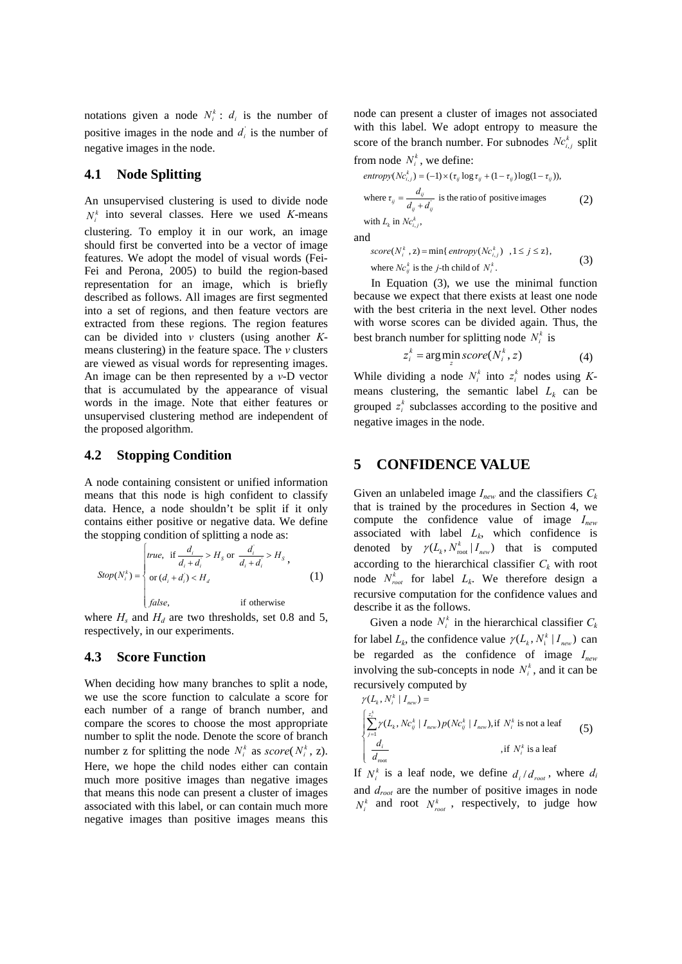notations given a node  $N_i^k$ :  $d_i$  is the number of positive images in the node and  $d_i$  is the number of negative images in the node.

#### **4.1 Node Splitting**

An unsupervised clustering is used to divide node  $N_i^k$  into several classes. Here we used *K*-means clustering. To employ it in our work, an image should first be converted into be a vector of image features. We adopt the model of visual words (Fei-Fei and Perona, 2005) to build the region-based representation for an image, which is briefly described as follows. All images are first segmented into a set of regions, and then feature vectors are extracted from these regions. The region features can be divided into *v* clusters (using another *K*means clustering) in the feature space. The *v* clusters are viewed as visual words for representing images. An image can be then represented by a *v*-D vector that is accumulated by the appearance of visual words in the image. Note that either features or unsupervised clustering method are independent of the proposed algorithm.

#### **4.2 Stopping Condition**

A node containing consistent or unified information means that this node is high confident to classify data. Hence, a node shouldn't be split if it only contains either positive or negative data. We define the stopping condition of splitting a node as:

$$
Stop(N_i^k) = \begin{cases} true, & \text{if } \frac{d_i}{d_i + d_i} > H_s \text{ or } \frac{d_i}{d_i + d_i} > H_s ,\\ \text{or } (d_i + d_i) < H_d \end{cases}
$$
 (1)  
false, if otherwise

where  $H_s$  and  $H_d$  are two thresholds, set 0.8 and 5, respectively, in our experiments.

#### **4.3 Score Function**

When deciding how many branches to split a node, we use the score function to calculate a score for each number of a range of branch number, and compare the scores to choose the most appropriate number to split the node. Denote the score of branch number z for splitting the node  $N_i^k$  as *score*( $N_i^k$ , z). Here, we hope the child nodes either can contain much more positive images than negative images that means this node can present a cluster of images associated with this label, or can contain much more negative images than positive images means this

node can present a cluster of images not associated with this label. We adopt entropy to measure the score of the branch number. For subnodes  $Nc_{i,j}^k$  split from node  $N_i^k$ , we define:

entropy(
$$
Ne_{i,j}^k
$$
) = (-1) × ( $\tau_{ij}$  log  $\tau_{ij}$  + (1 –  $\tau_{ij}$ )log(1 –  $\tau_{ij}$ )),  
where  $\tau_{ij} = \frac{d_{ij}}{d_{ij} + d'_{ij}}$  is the ratio of positive images  
with  $L_k$  in  $Ne_{i,j}^k$ , (2)

and

$$
score(N_i^k, z) = \min\{\text{entropy}(Nc_{i,j}^k) \mid 1 \le j \le z\},\
$$
  
where  $NC_{ij}^k$  is the *j*-th child of  $N_i^k$ . (3)

In Equation (3), we use the minimal function because we expect that there exists at least one node with the best criteria in the next level. Other nodes with worse scores can be divided again. Thus, the best branch number for splitting node  $N_i^k$  is

$$
z_i^k = \arg\min_{z} score(N_i^k, z)
$$
 (4)

While dividing a node  $N_i^k$  into  $z_i^k$  nodes using Kmeans clustering, the semantic label  $L_k$  can be grouped  $z_i^k$  subclasses according to the positive and negative images in the node.

### **5 CONFIDENCE VALUE**

Given an unlabeled image  $I_{new}$  and the classifiers  $C_k$ that is trained by the procedures in Section 4, we compute the confidence value of image *Inew* associated with label  $L_k$ , which confidence is denoted by  $\gamma(L_k, N_{\text{root}}^k | I_{\text{new}})$  that is computed according to the hierarchical classifier  $C_k$  with root node  $N_{root}^k$  for label  $L_k$ . We therefore design a recursive computation for the confidence values and describe it as the follows.

Given a node  $N_i^k$  in the hierarchical classifier  $C_k$ for label  $L_k$ , the confidence value  $\gamma(L_k, N_i^k \mid I_{new})$  can be regarded as the confidence of image *Inew* involving the sub-concepts in node  $N_i^k$ , and it can be recursively computed by

$$
\gamma(L_k, N_i^k | I_{new}) =
$$
\n
$$
\begin{cases}\n\sum_{j=1}^{z_i^k} \gamma(L_k, N c_{ij}^k | I_{new}) p(N c_{ij}^k | I_{new}), \text{if } N_i^k \text{ is not a leaf} \\
\frac{d_i}{d_{\text{root}}}\n\end{cases}
$$
\n
$$
\begin{cases}\n\sum_{j=1}^{z_i^k} \gamma(L_k, N c_{ij}^k | I_{new}) p(N c_{ij}^k | I_{new}), \text{if } N_i^k \text{ is a leaf}\n\end{cases}
$$
\n
$$
\begin{cases}\n(5)\n\end{cases}
$$

If  $N_i^k$  is a leaf node, we define  $d_i/d_{i}$ , where  $d_i$ and *droot* are the number of positive images in node  $N_i^k$  and root  $N_{root}^k$ , respectively, to judge how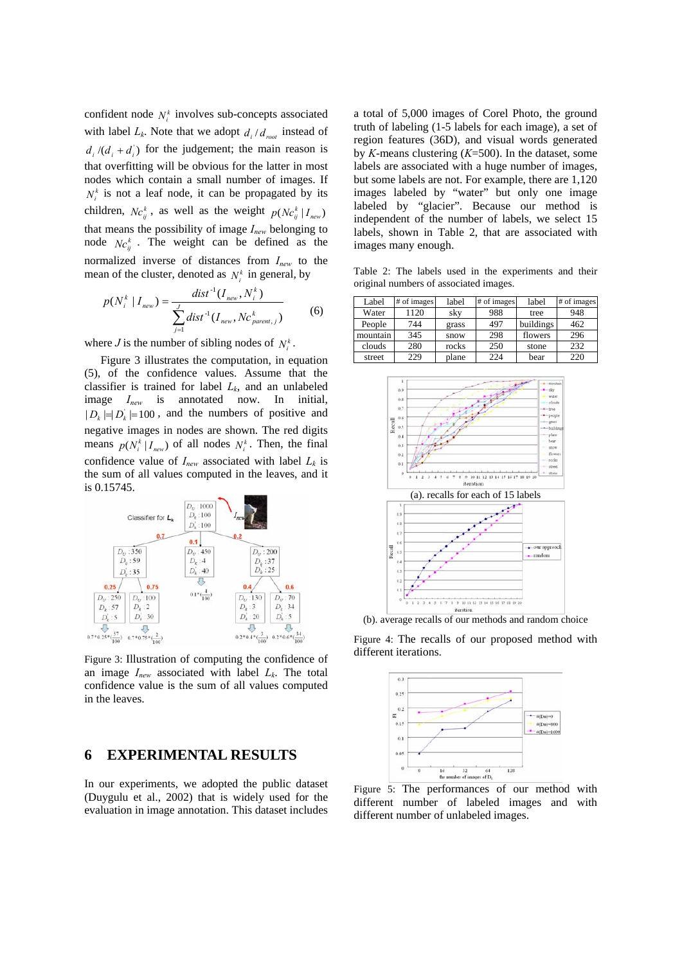confident node  $N_i^k$  involves sub-concepts associated with label  $L_k$ . Note that we adopt  $d_i/d_{\text{root}}$  instead of  $d_i/(d_i + d_i)$  for the judgement; the main reason is that overfitting will be obvious for the latter in most nodes which contain a small number of images. If  $N_i^k$  is not a leaf node, it can be propagated by its children,  $Nc_{ij}^k$ , as well as the weight  $p(Nc_{ij}^k | I_{new})$ that means the possibility of image *Inew* belonging to node  $Nc_{ij}^k$ . The weight can be defined as the normalized inverse of distances from *Inew* to the mean of the cluster, denoted as  $N_i^k$  in general, by

$$
p(N_i^k | I_{new}) = \frac{dist^{-1}(I_{new}, N_i^k)}{\sum_{j=1}^{J} dist^{-1}(I_{new}, Nc_{parent,j}^k)}
$$
(6)

where *J* is the number of sibling nodes of  $N_i^k$ .

Figure 3 illustrates the computation, in equation (5), of the confidence values. Assume that the classifier is trained for label  $L_k$ , and an unlabeled image *Inew* is annotated now. In initial,  $| D_k | = | D_k | = 100$ , and the numbers of positive and negative images in nodes are shown. The red digits means  $p(N_i^k | I_{new})$  of all nodes  $N_i^k$ . Then, the final confidence value of  $I_{new}$  associated with label  $L_k$  is the sum of all values computed in the leaves, and it is 0.15745.



Figure 3: Illustration of computing the confidence of an image  $I_{new}$  associated with label  $L_k$ . The total confidence value is the sum of all values computed in the leaves.

### **6 EXPERIMENTAL RESULTS**

In our experiments, we adopted the public dataset (Duygulu et al., 2002) that is widely used for the evaluation in image annotation. This dataset includes

a total of 5,000 images of Corel Photo, the ground truth of labeling (1-5 labels for each image), a set of region features (36D), and visual words generated by *K*-means clustering (*K*=500). In the dataset, some labels are associated with a huge number of images, but some labels are not. For example, there are 1,120 images labeled by "water" but only one image labeled by "glacier". Because our method is independent of the number of labels, we select 15 labels, shown in Table 2, that are associated with images many enough.

Table 2: The labels used in the experiments and their original numbers of associated images.

| Label    | # of images | label | # of images | label     | # of images |
|----------|-------------|-------|-------------|-----------|-------------|
| Water    | 1120        | sky   | 988         | tree      | 948         |
| People   | 744         | grass | 497         | buildings | 462         |
| mountain | 345         | snow  | 298         | flowers   | 296         |
| clouds   | 280         | rocks | 250         | stone     | 232         |
| street   | 229         | plane | 224         | bear      | 220         |



(b). average recalls of our methods and random choice

Figure 4: The recalls of our proposed method with different iterations.



Figure 5: The performances of our method with different number of labeled images and with different number of unlabeled images.